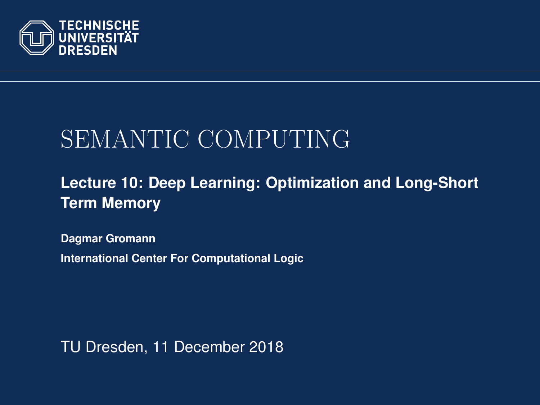<span id="page-0-0"></span>

## SEMANTIC COMPUTING

#### **[Lecture 10: Deep Learning: Optimization and Long-Short](https://iccl.inf.tu-dresden.de/web/Semantic_Computing_(SS2018)) [Term Memory](https://iccl.inf.tu-dresden.de/web/Semantic_Computing_(SS2018))**

**[Dagmar Gromann](https://iccl.inf.tu-dresden.de/web/Dagmar_Gromann)**

**International Center For Computational Logic**

TU Dresden, 11 December 2018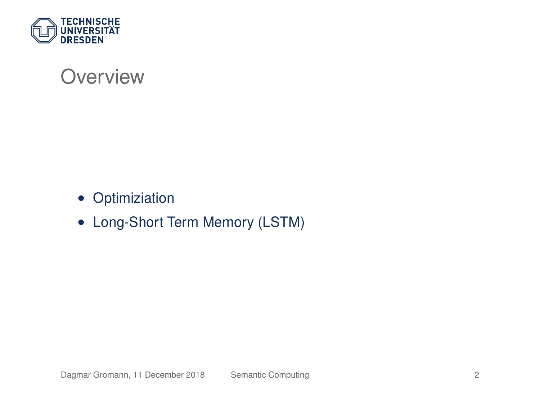

#### **Overview**

- Optimiziation
- Long-Short Term Memory (LSTM)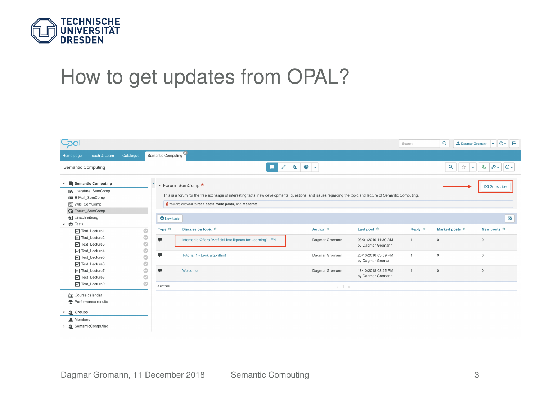

### How to get updates from OPAL?

| Gal                                                                                                                                                           |                                                 |                                                                                                                                                                                                                                                                                |                                                                |                |                                          | Search               | Q                                                       | $0 - 0$<br>2. Dagmar Gromann v |  |
|---------------------------------------------------------------------------------------------------------------------------------------------------------------|-------------------------------------------------|--------------------------------------------------------------------------------------------------------------------------------------------------------------------------------------------------------------------------------------------------------------------------------|----------------------------------------------------------------|----------------|------------------------------------------|----------------------|---------------------------------------------------------|--------------------------------|--|
| Teach & Learn<br>Home page                                                                                                                                    | Catalogue                                       | Semantic Computing                                                                                                                                                                                                                                                             |                                                                |                |                                          |                      |                                                         |                                |  |
| Semantic Computing                                                                                                                                            | $20 -$<br>$\mathscr{P}$<br>a.                   |                                                                                                                                                                                                                                                                                |                                                                |                |                                          |                      | Q<br>.۰.<br>☆<br>$\mathbf{A}_{\mathbf{0}}$<br>രം<br>Тv. |                                |  |
| Semantic Computing<br><b>In Literature SemComp</b><br>E-Mail SemComp<br>[w] Wiki_SemComp<br>G Forum_SemComp<br>Finschreibung                                  |                                                 | * Forum SemComp <sup>8</sup><br>This is a forum for the free exchange of interesting facts, new developments, questions, and issues regarding the topic and lecture of Semantic Computing.<br>B You are allowed to read posts, write posts, and moderate<br><b>O</b> New topic |                                                                |                |                                          |                      | Subscribe<br><b>FO</b>                                  |                                |  |
| 4 素 Tests                                                                                                                                                     |                                                 | Type 0                                                                                                                                                                                                                                                                         | Discussion topic 0                                             | Author 0       | Last post 0                              | Reply ®              | Marked posts 0                                          | New posts <sup>®</sup>         |  |
| Test_Lecture1<br>Test Lecture2<br>Test_Lecture3<br>V Test_Lecture4<br>V Test_Lecture5<br>V Test_Lecture6<br>V Test_Lecture7<br>Test_Lecture8<br>Test_Lecture9 | O<br>O<br>Ó<br>Ò<br>O<br>O<br>Ó<br>$\circ$<br>Ó | ٠                                                                                                                                                                                                                                                                              | Internship Offers "Artificial Intelligence for Learning" - FYI | Dagmar Gromann | 03/01/2019 11:39 AM<br>by Dagmar Gromann | $\mathbf{1}$         | $\theta$                                                | $\circ$                        |  |
|                                                                                                                                                               |                                                 | 賱                                                                                                                                                                                                                                                                              | Tutorial 1 - Lesk algorithm!                                   | Dagmar Gromann | 26/10/2018 03:59 PM<br>by Dagmar Gromann | $\ddot{\phantom{a}}$ | $\theta$                                                | $\circ$                        |  |
|                                                                                                                                                               |                                                 | ٠                                                                                                                                                                                                                                                                              | Welcome!                                                       | Dagmar Gromann | 18/10/2018 08:25 PM<br>by Dagmar Gromann | $\ddot{\phantom{1}}$ | $\theta$                                                | $\circ$                        |  |
|                                                                                                                                                               |                                                 | <b>Sentries</b><br>$x - 1 - x$                                                                                                                                                                                                                                                 |                                                                |                |                                          |                      |                                                         |                                |  |
| <b>Course</b> calendar<br><b>Performance results</b><br>& Groups<br>$\overline{a}$<br>A Members<br>SemanticComputing                                          |                                                 |                                                                                                                                                                                                                                                                                |                                                                |                |                                          |                      |                                                         |                                |  |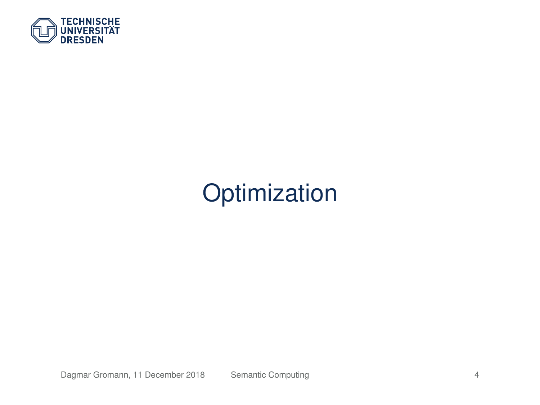

## **Optimization**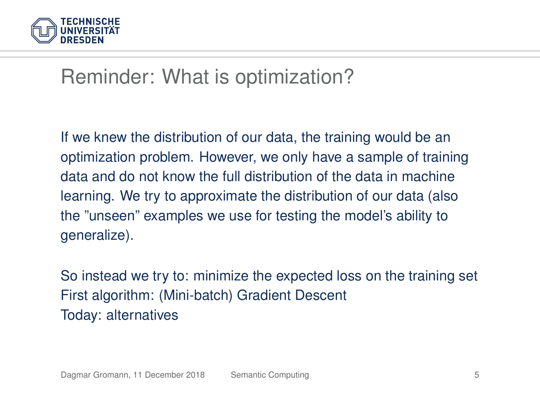

#### Reminder: What is optimization?

If we knew the distribution of our data, the training would be an optimization problem. However, we only have a sample of training data and do not know the full distribution of the data in machine learning. We try to approximate the distribution of our data (also the "unseen" examples we use for testing the model's ability to generalize).

So instead we try to: minimize the expected loss on the training set First algorithm: (Mini-batch) Gradient Descent Today: alternatives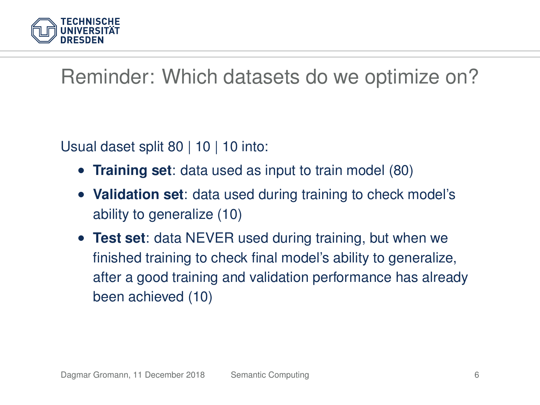

## Reminder: Which datasets do we optimize on?

Usual daset split 80 | 10 | 10 into:

- **Training set**: data used as input to train model (80)
- **Validation set**: data used during training to check model's ability to generalize (10)
- **Test set**: data NEVER used during training, but when we finished training to check final model's ability to generalize, after a good training and validation performance has already been achieved (10)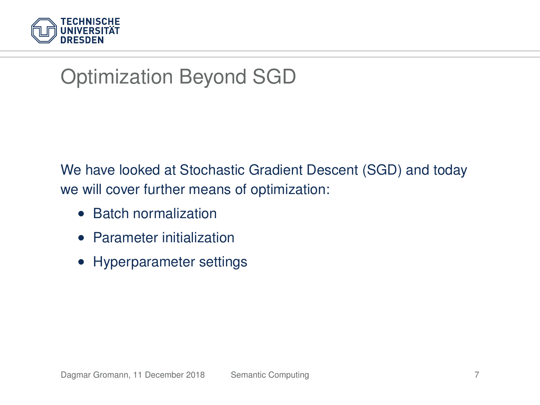

## Optimization Beyond SGD

We have looked at Stochastic Gradient Descent (SGD) and today we will cover further means of optimization:

- Batch normalization
- Parameter initialization
- Hyperparameter settings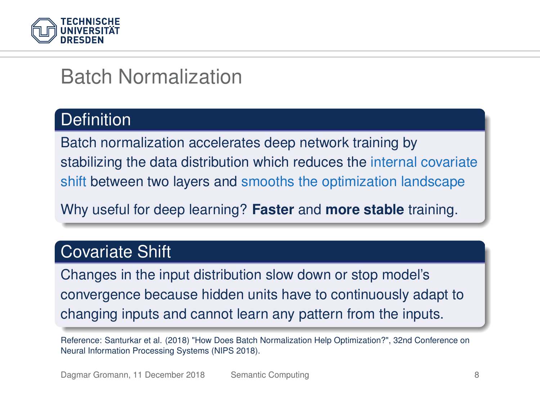

#### Batch Normalization

#### **Definition**

Batch normalization accelerates deep network training by stabilizing the data distribution which reduces the internal covariate shift between two layers and smooths the optimization landscape

Why useful for deep learning? **Faster** and **more stable** training.

#### Covariate Shift

Changes in the input distribution slow down or stop model's convergence because hidden units have to continuously adapt to changing inputs and cannot learn any pattern from the inputs.

Reference: Santurkar et al. (2018) "How Does Batch Normalization Help Optimization?", 32nd Conference on Neural Information Processing Systems (NIPS 2018).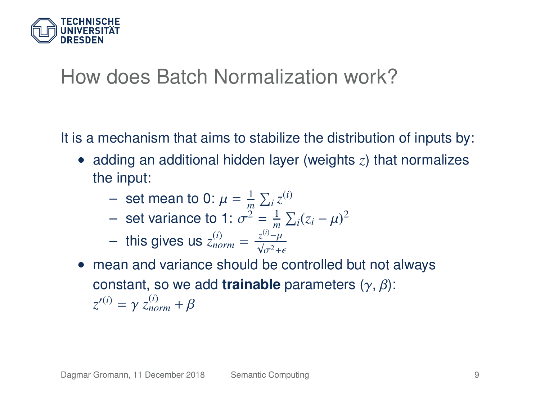

#### How does Batch Normalization work?

It is a mechanism that aims to stabilize the distribution of inputs by:

- adding an additional hidden layer (weights *z*) that normalizes the input:
	- $-$  set mean to 0:  $\mu = \frac{1}{m} \sum_i z^{(i)}$ <br> **port variance to 1:**  $\sigma^2 = \frac{1}{n} \sum_i$

- set variance to 1: 
$$
\sigma^2 = \frac{1}{m} \sum_i (z_i - \mu)^2
$$

- this gives us 
$$
z_{norm}^{(i)} = \frac{z^{(i)} - \mu}{\sqrt{\sigma^2 + \epsilon}}
$$

• mean and variance should be controlled but not always constant, so we add **trainable** parameters (γ, β):  $z^{\prime(i)} = \gamma z_{norm}^{(i)} + \beta$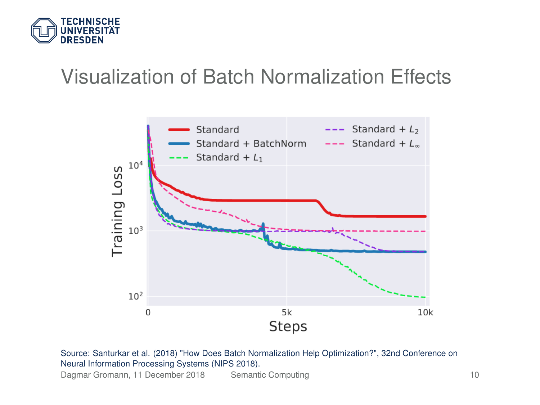

#### Visualization of Batch Normalization Effects



Source: Santurkar et al. (2018) "How Does Batch Normalization Help Optimization?", 32nd Conference on Neural Information Processing Systems (NIPS 2018).

Dagmar Gromann, 11 December 2018 [Semantic Computing](#page-0-0) 10 10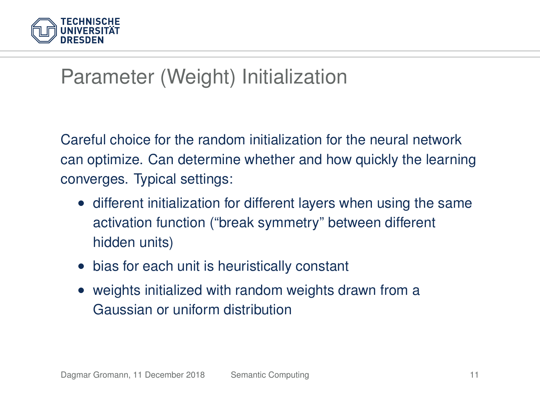

## Parameter (Weight) Initialization

Careful choice for the random initialization for the neural network can optimize. Can determine whether and how quickly the learning converges. Typical settings:

- different initialization for different layers when using the same activation function ("break symmetry" between different hidden units)
- bias for each unit is heuristically constant
- weights initialized with random weights drawn from a Gaussian or uniform distribution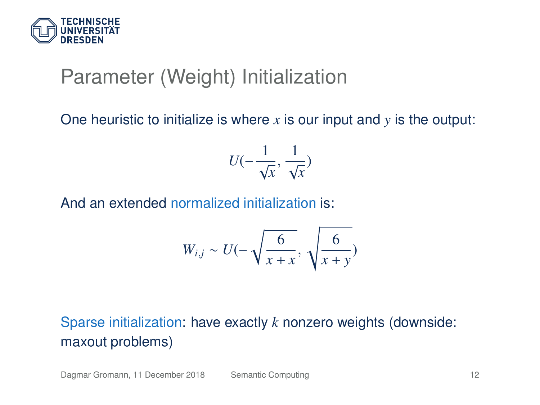

### Parameter (Weight) Initialization

#### One heuristic to initialize is where *x* is our input and *y* is the output:

$$
U(-\frac{1}{\sqrt{x}}, \frac{1}{\sqrt{x}})
$$

And an extended normalized initialization is:

$$
W_{i,j} \sim U(-\sqrt{\frac{6}{x+x}}, \sqrt{\frac{6}{x+y}})
$$

#### Sparse initialization: have exactly *k* nonzero weights (downside: maxout problems)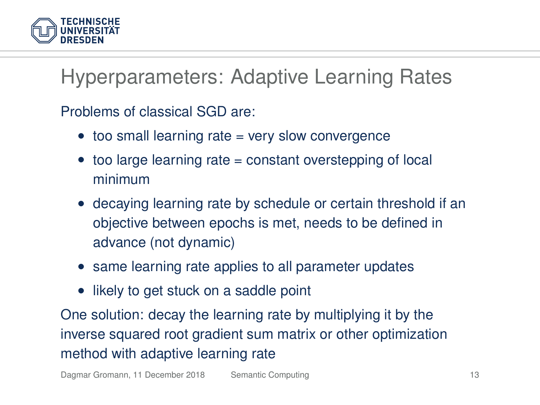

Hyperparameters: Adaptive Learning Rates

Problems of classical SGD are:

- too small learning rate = very slow convergence
- too large learning rate = constant overstepping of local minimum
- decaying learning rate by schedule or certain threshold if an objective between epochs is met, needs to be defined in advance (not dynamic)
- same learning rate applies to all parameter updates
- likely to get stuck on a saddle point

One solution: decay the learning rate by multiplying it by the inverse squared root gradient sum matrix or other optimization method with adaptive learning rate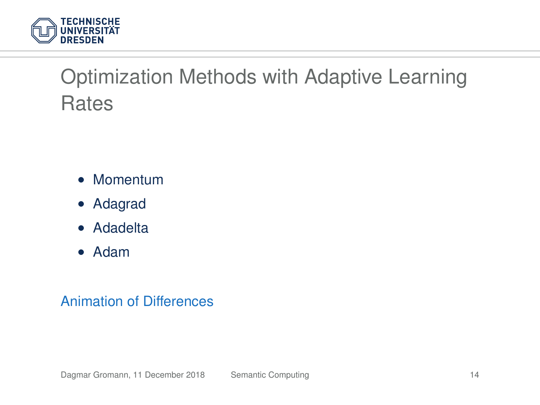

## Optimization Methods with Adaptive Learning **Rates**

- Momentum
- Adagrad
- Adadelta
- Adam

#### [Animation of Differences](http://www.denizyuret.com/2015/03/alec-radfords-animations-for.html)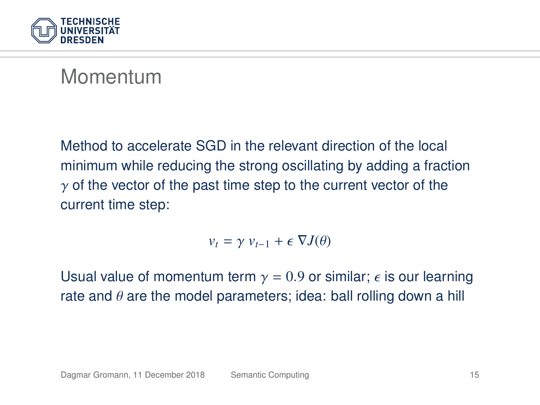

#### Momentum

Method to accelerate SGD in the relevant direction of the local minimum while reducing the strong oscillating by adding a fraction  $\gamma$  of the vector of the past time step to the current vector of the current time step:

$$
v_t = \gamma v_{t-1} + \epsilon \nabla J(\theta)
$$

Usual value of momentum term  $y = 0.9$  or similar;  $\epsilon$  is our learning rate and  $\theta$  are the model parameters; idea: ball rolling down a hill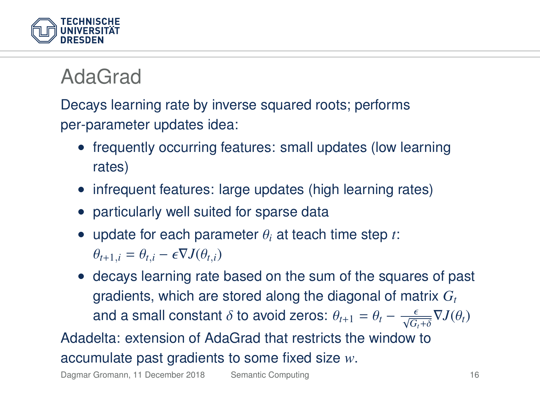

## AdaGrad

Decays learning rate by inverse squared roots; performs per-parameter updates idea:

- frequently occurring features: small updates (low learning rates)
- infrequent features: large updates (high learning rates)
- particularly well suited for sparse data
- update for each parameter <sup>θ</sup>*<sup>i</sup>* at teach time step *<sup>t</sup>*:  $\theta_{t+1,i} = \theta_{t,i} - \epsilon \nabla J(\theta_{t,i})$
- decays learning rate based on the sum of the squares of past gradients, which are stored along the diagonal of matrix *G<sup>t</sup>* and a small constant  $\delta$  to avoid zeros:  $\theta_{t+1} = \theta_t - \frac{\epsilon}{\sqrt{G_t+\delta}} \nabla J(\theta_t)$

Adadelta: extension of AdaGrad that restricts the window to accumulate past gradients to some fixed size *w*.

Dagmar Gromann, 11 December 2018 [Semantic Computing](#page-0-0) 16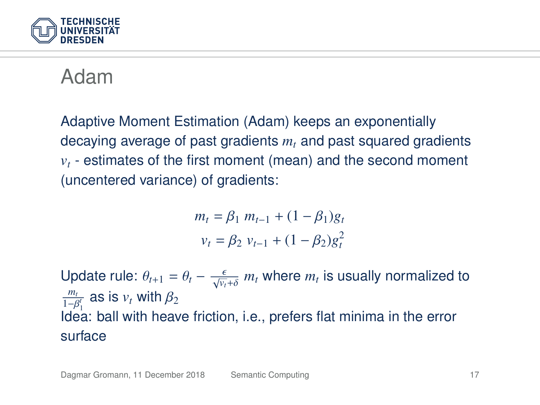

#### Adam

Adaptive Moment Estimation (Adam) keeps an exponentially decaying average of past gradients *m<sup>t</sup>* and past squared gradients  $v<sub>t</sub>$  - estimates of the first moment (mean) and the second moment (uncentered variance) of gradients:

$$
m_t = \beta_1 \ m_{t-1} + (1 - \beta_1)g_t
$$
  

$$
v_t = \beta_2 \ v_{t-1} + (1 - \beta_2)g_t^2
$$

Update rule:  $\theta_{t+1} = \theta_t - \frac{\epsilon}{\sqrt{v_t} + \delta} m_t$  where  $m_t$  is usually normalized to  $\frac{m_t}{\sqrt{v_t}}$  so is *w* with  $\theta$  $\frac{m_t}{\beta_1^t}$  as is  $v_t$  with  $\beta_2$ <br> **doo:** boll with booy  $1-\beta_1^c$  as is  $\nu_t$  with  $\rho_2$ <br>Idea: ball with heave friction, i.e., prefers flat minima in the error surface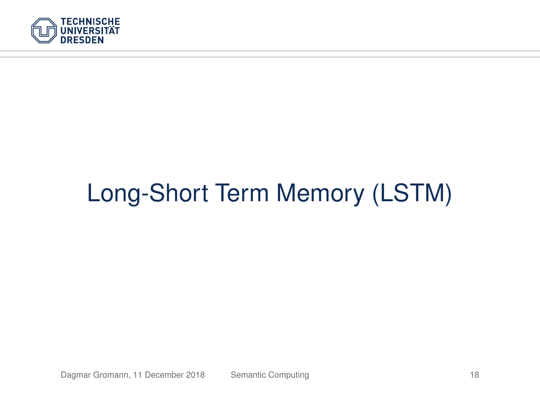

# Long-Short Term Memory (LSTM)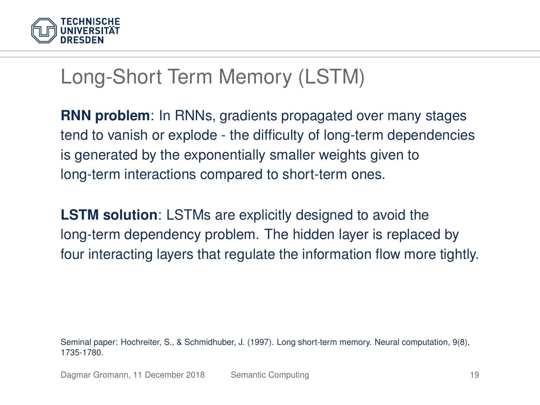

#### Long-Short Term Memory (LSTM)

**RNN problem**: In RNNs, gradients propagated over many stages tend to vanish or explode - the difficulty of long-term dependencies is generated by the exponentially smaller weights given to long-term interactions compared to short-term ones.

**LSTM solution**: LSTMs are explicitly designed to avoid the long-term dependency problem. The hidden layer is replaced by four interacting layers that regulate the information flow more tightly.

Seminal paper: Hochreiter, S., & Schmidhuber, J. (1997). Long short-term memory. Neural computation, 9(8), 1735-1780.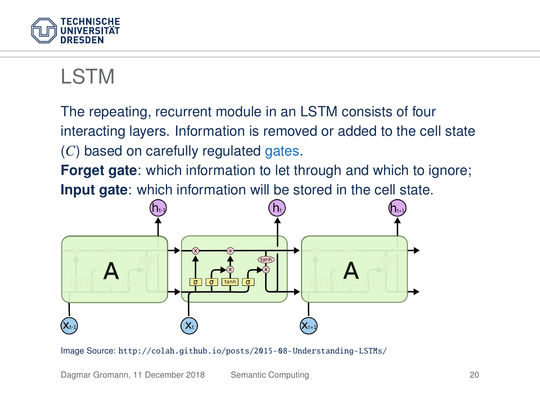

## LSTM

The repeating, recurrent module in an LSTM consists of four interacting layers. Information is removed or added to the cell state (*C*) based on carefully regulated gates.

**Forget gate:** which information to let through and which to ignore; **Input gate**: which information will be stored in the cell state.

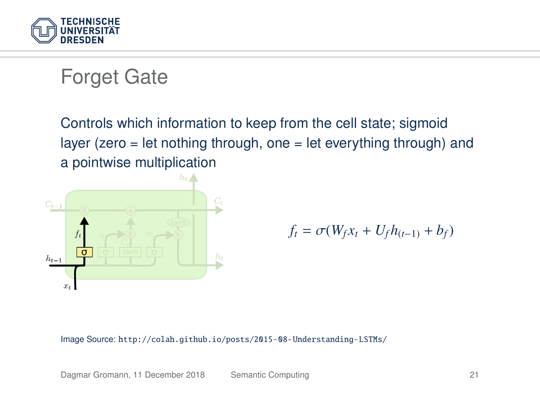

#### Forget Gate

Controls which information to keep from the cell state; sigmoid layer (zero  $=$  let nothing through, one  $=$  let everything through) and a pointwise multiplication



$$
f_t = \sigma(W_f x_t + U_f h_{(t-1)} + b_f)
$$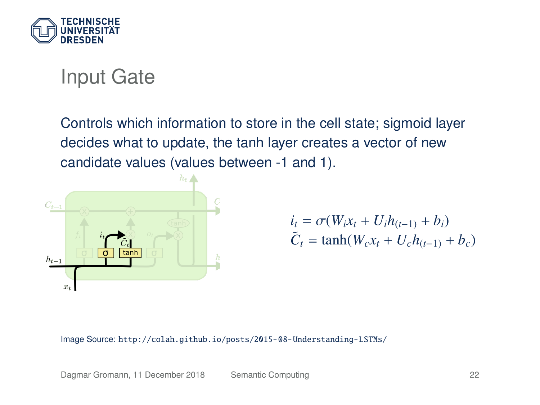

#### Input Gate

Controls which information to store in the cell state; sigmoid layer decides what to update, the tanh layer creates a vector of new candidate values (values between -1 and 1).



$$
\begin{aligned} i_t &= \sigma(W_i x_t + U_i h_{(t-1)} + b_i) \\ \tilde{C}_t &= \tanh(W_c x_t + U_c h_{(t-1)} + b_c) \end{aligned}
$$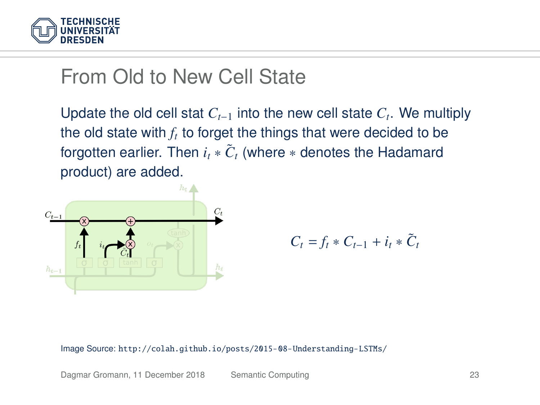

#### From Old to New Cell State

Update the old cell stat *Ct*−<sup>1</sup> into the new cell state *C<sup>t</sup>* . We multiply the old state with  $f_t$  to forget the things that were decided to be forgotten earlier. Then  $i_t * \tilde{C}_t$  (where  $*$  denotes the Hadamard product) are added.



$$
C_t = f_t * C_{t-1} + i_t * \tilde{C}_t
$$

Image Source: <http://colah.github.io/posts/2015-08-Understanding-LSTMs/>

Dagmar Gromann, 11 December 2018 [Semantic Computing](#page-0-0) 23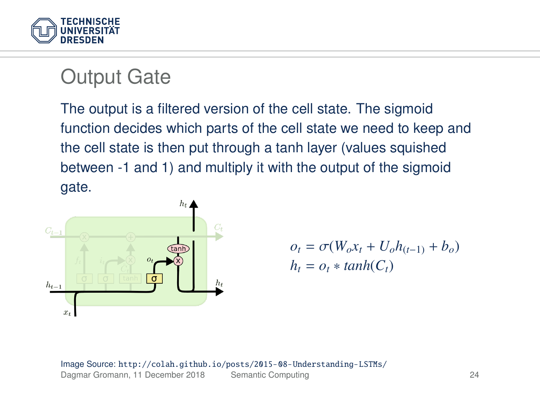

#### Output Gate

The output is a filtered version of the cell state. The sigmoid function decides which parts of the cell state we need to keep and the cell state is then put through a tanh layer (values squished between -1 and 1) and multiply it with the output of the sigmoid gate.



$$
o_t = \sigma(W_o x_t + U_o h_{(t-1)} + b_o)
$$
  

$$
h_t = o_t * tanh(C_t)
$$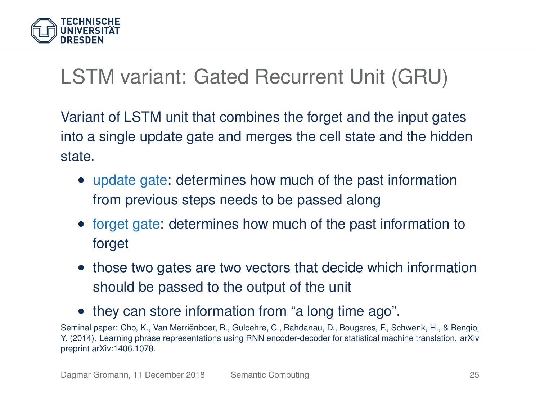

## LSTM variant: Gated Recurrent Unit (GRU)

Variant of LSTM unit that combines the forget and the input gates into a single update gate and merges the cell state and the hidden state.

- update gate: determines how much of the past information from previous steps needs to be passed along
- forget gate: determines how much of the past information to forget
- those two gates are two vectors that decide which information should be passed to the output of the unit
- they can store information from "a long time ago".

Seminal paper: Cho, K., Van Merriënboer, B., Gulcehre, C., Bahdanau, D., Bougares, F., Schwenk, H., & Bengio, Y. (2014). Learning phrase representations using RNN encoder-decoder for statistical machine translation. arXiv preprint arXiv:1406.1078.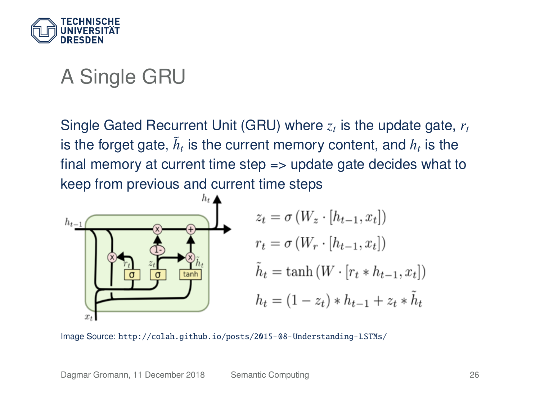

## A Single GRU

Single Gated Recurrent Unit (GRU) where *z<sup>t</sup>* is the update gate, *r<sup>t</sup>* is the forget gate,  $\tilde{h}_t$  is the current memory content, and  $h_t$  is the final memory at current time step => update gate decides what to keep from previous and current time steps

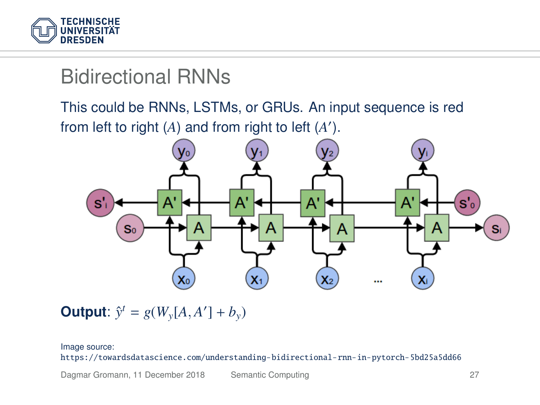

### Bidirectional RNNs

This could be RNNs, LSTMs, or GRUs. An input sequence is red from left to right  $(A)$  and from right to left  $(A')$ .



**Output**:  $\hat{y}^t = g(W_y[A, A^t] + b_y)$ 

#### Image source:

<https://towardsdatascience.com/understanding-bidirectional-rnn-in-pytorch-5bd25a5dd66>

Dagmar Gromann, 11 December 2018 [Semantic Computing](#page-0-0) 27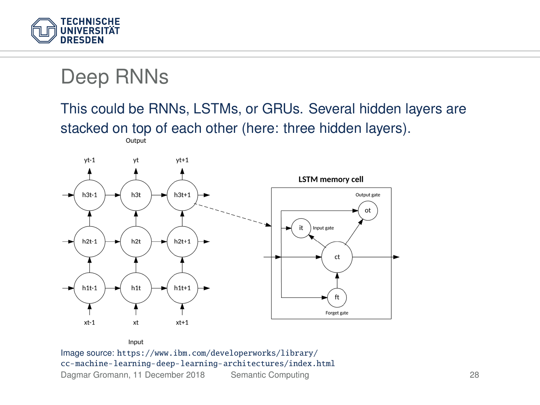

#### Deep RNNs

#### This could be RNNs, LSTMs, or GRUs. Several hidden layers are stacked on top of each other (here: three hidden layers).



Input Image source: [https://www.ibm.com/developerworks/library/](https://www.ibm.com/developerworks/library/cc-machine-learning-deep-learning-architectures/index.html) [cc-machine-learning-deep-learning-architectures/index.html](https://www.ibm.com/developerworks/library/cc-machine-learning-deep-learning-architectures/index.html)

Dagmar Gromann, 11 December 2018 [Semantic Computing](#page-0-0) 28